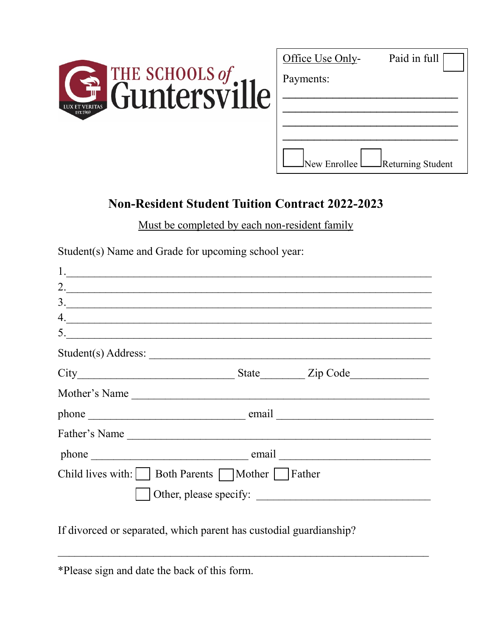

| Office Use Only- | Paid in full             |
|------------------|--------------------------|
| Payments:        |                          |
|                  |                          |
|                  |                          |
|                  |                          |
| Vew Enrollee     | <b>Returning Student</b> |

## **Non-Resident Student Tuition Contract 2022-2023**

Must be completed by each non-resident family

Student(s) Name and Grade for upcoming school year:

| $\frac{1}{2}$                                                      |                        |  |  |
|--------------------------------------------------------------------|------------------------|--|--|
|                                                                    | 2.                     |  |  |
| $\frac{3}{2}$                                                      |                        |  |  |
|                                                                    | 4.                     |  |  |
| 5.                                                                 |                        |  |  |
|                                                                    |                        |  |  |
|                                                                    |                        |  |  |
|                                                                    | Mother's Name          |  |  |
|                                                                    |                        |  |  |
|                                                                    | Father's Name          |  |  |
|                                                                    |                        |  |  |
| Child lives with: $\vert$ Both Parents $\Box$ Mother $\Box$ Father |                        |  |  |
|                                                                    | Other, please specify: |  |  |

 $\mathcal{L}_\text{max}$  and  $\mathcal{L}_\text{max}$  and  $\mathcal{L}_\text{max}$  and  $\mathcal{L}_\text{max}$  and  $\mathcal{L}_\text{max}$  and  $\mathcal{L}_\text{max}$ 

If divorced or separated, which parent has custodial guardianship?

\*Please sign and date the back of this form.